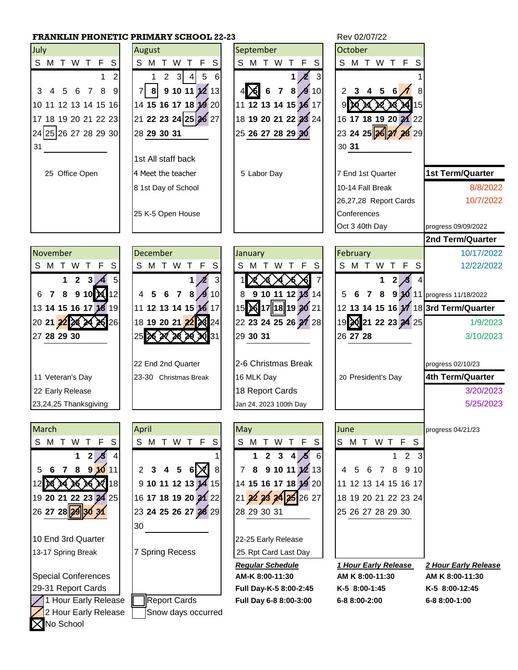## **FRANKLIN PHONETIC PRIMARY SCHOOL 22-23** Rev 02/07/22